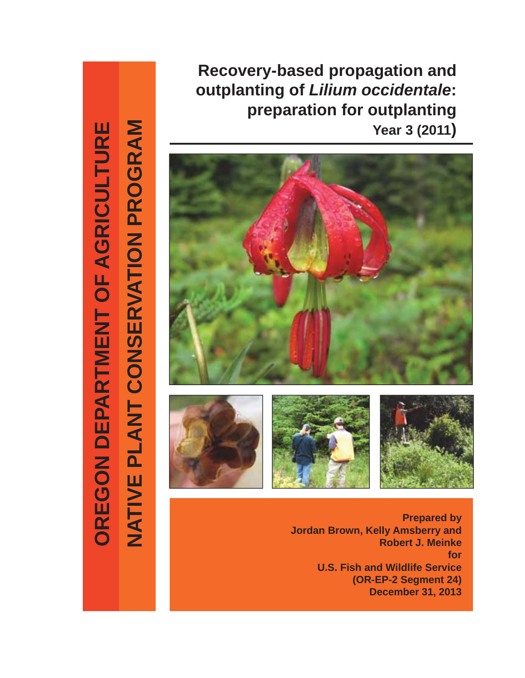**Recovery-based propagation and outplanting of** *Lilium occidentale***: preparation for outplanting Year 3 (2011)**



NATIVE PLANT CONSERVATION PROGRAM OREGON DEPARTMENT OF AGRICULTURE **NATIVE PLANT CONSERVATION PROGRAM OREGON DEPARTMENT OF AGRICULTURE**

**Prepared by Jordan Brown, Kelly Amsberry and Robert J. Meinke for U.S. Fish and Wildlife Service (OR-EP-2 Segment 24) December 31, 2013**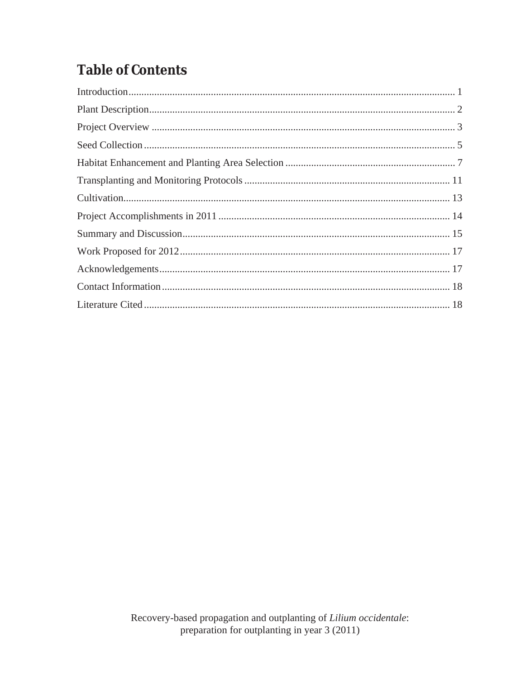# **Table of Contents**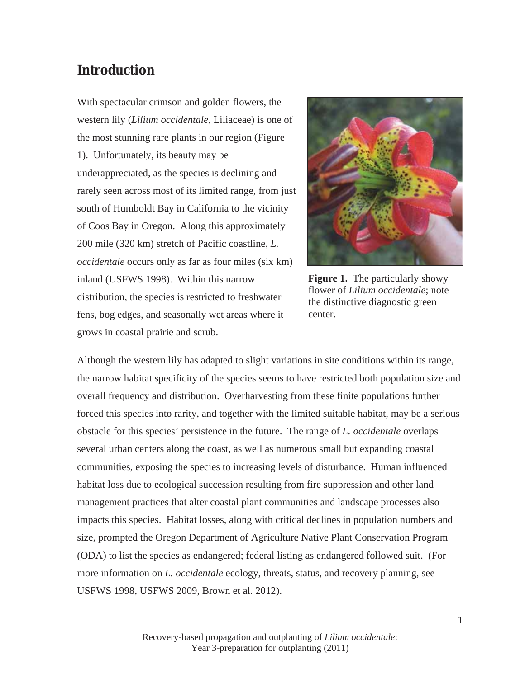### **Introduction**

With spectacular crimson and golden flowers, the western lily (*Lilium occidentale*, Liliaceae) is one of the most stunning rare plants in our region (Figure 1). Unfortunately, its beauty may be underappreciated, as the species is declining and rarely seen across most of its limited range, from just south of Humboldt Bay in California to the vicinity of Coos Bay in Oregon. Along this approximately 200 mile (320 km) stretch of Pacific coastline, *L. occidentale* occurs only as far as four miles (six km) inland (USFWS 1998). Within this narrow distribution, the species is restricted to freshwater fens, bog edges, and seasonally wet areas where it grows in coastal prairie and scrub.



**Figure 1.** The particularly showy flower of *Lilium occidentale*; note the distinctive diagnostic green center.

Although the western lily has adapted to slight variations in site conditions within its range, the narrow habitat specificity of the species seems to have restricted both population size and overall frequency and distribution. Overharvesting from these finite populations further forced this species into rarity, and together with the limited suitable habitat, may be a serious obstacle for this species' persistence in the future. The range of *L. occidentale* overlaps several urban centers along the coast, as well as numerous small but expanding coastal communities, exposing the species to increasing levels of disturbance. Human influenced habitat loss due to ecological succession resulting from fire suppression and other land management practices that alter coastal plant communities and landscape processes also impacts this species. Habitat losses, along with critical declines in population numbers and size, prompted the Oregon Department of Agriculture Native Plant Conservation Program (ODA) to list the species as endangered; federal listing as endangered followed suit. (For more information on *L. occidentale* ecology, threats, status, and recovery planning, see USFWS 1998, USFWS 2009, Brown et al. 2012).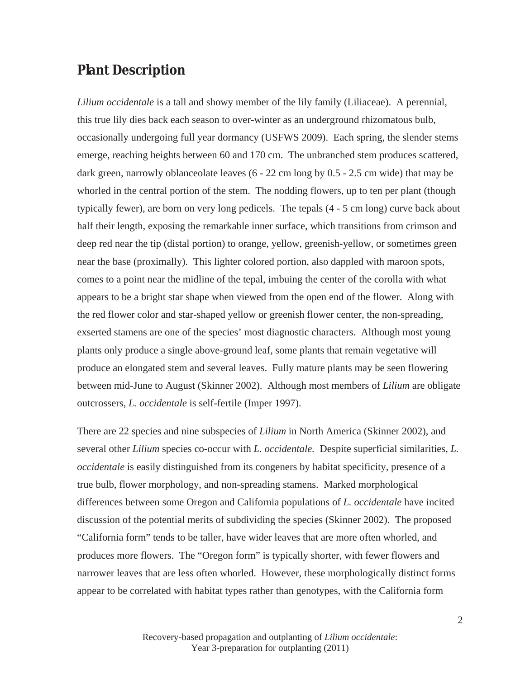#### **Plant Description**

*Lilium occidentale* is a tall and showy member of the lily family (Liliaceae). A perennial, this true lily dies back each season to over-winter as an underground rhizomatous bulb, occasionally undergoing full year dormancy (USFWS 2009). Each spring, the slender stems emerge, reaching heights between 60 and 170 cm. The unbranched stem produces scattered, dark green, narrowly oblanceolate leaves (6 - 22 cm long by 0.5 - 2.5 cm wide) that may be whorled in the central portion of the stem. The nodding flowers, up to ten per plant (though typically fewer), are born on very long pedicels. The tepals (4 - 5 cm long) curve back about half their length, exposing the remarkable inner surface, which transitions from crimson and deep red near the tip (distal portion) to orange, yellow, greenish-yellow, or sometimes green near the base (proximally). This lighter colored portion, also dappled with maroon spots, comes to a point near the midline of the tepal, imbuing the center of the corolla with what appears to be a bright star shape when viewed from the open end of the flower. Along with the red flower color and star-shaped yellow or greenish flower center, the non-spreading, exserted stamens are one of the species' most diagnostic characters. Although most young plants only produce a single above-ground leaf, some plants that remain vegetative will produce an elongated stem and several leaves. Fully mature plants may be seen flowering between mid-June to August (Skinner 2002). Although most members of *Lilium* are obligate outcrossers, *L. occidentale* is self-fertile (Imper 1997).

There are 22 species and nine subspecies of *Lilium* in North America (Skinner 2002), and several other *Lilium* species co-occur with *L. occidentale.* Despite superficial similarities, *L. occidentale* is easily distinguished from its congeners by habitat specificity, presence of a true bulb, flower morphology, and non-spreading stamens. Marked morphological differences between some Oregon and California populations of *L. occidentale* have incited discussion of the potential merits of subdividing the species (Skinner 2002). The proposed "California form" tends to be taller, have wider leaves that are more often whorled, and produces more flowers. The "Oregon form" is typically shorter, with fewer flowers and narrower leaves that are less often whorled. However, these morphologically distinct forms appear to be correlated with habitat types rather than genotypes, with the California form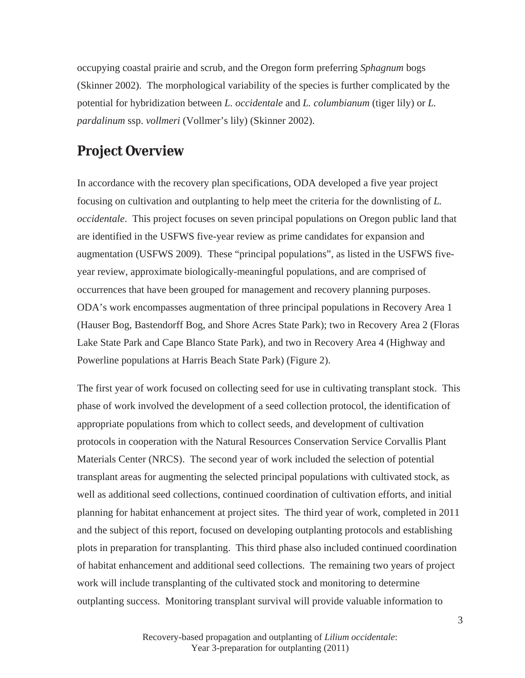occupying coastal prairie and scrub, and the Oregon form preferring *Sphagnum* bogs (Skinner 2002). The morphological variability of the species is further complicated by the potential for hybridization between *L. occidentale* and *L. columbianum* (tiger lily) or *L. pardalinum* ssp. *vollmeri* (Vollmer's lily) (Skinner 2002).

## **Project Overview**

In accordance with the recovery plan specifications, ODA developed a five year project focusing on cultivation and outplanting to help meet the criteria for the downlisting of *L. occidentale*. This project focuses on seven principal populations on Oregon public land that are identified in the USFWS five-year review as prime candidates for expansion and augmentation (USFWS 2009). These "principal populations", as listed in the USFWS fiveyear review, approximate biologically-meaningful populations, and are comprised of occurrences that have been grouped for management and recovery planning purposes. ODA's work encompasses augmentation of three principal populations in Recovery Area 1 (Hauser Bog, Bastendorff Bog, and Shore Acres State Park); two in Recovery Area 2 (Floras Lake State Park and Cape Blanco State Park), and two in Recovery Area 4 (Highway and Powerline populations at Harris Beach State Park) (Figure 2).

The first year of work focused on collecting seed for use in cultivating transplant stock. This phase of work involved the development of a seed collection protocol, the identification of appropriate populations from which to collect seeds, and development of cultivation protocols in cooperation with the Natural Resources Conservation Service Corvallis Plant Materials Center (NRCS). The second year of work included the selection of potential transplant areas for augmenting the selected principal populations with cultivated stock, as well as additional seed collections, continued coordination of cultivation efforts, and initial planning for habitat enhancement at project sites. The third year of work, completed in 2011 and the subject of this report, focused on developing outplanting protocols and establishing plots in preparation for transplanting. This third phase also included continued coordination of habitat enhancement and additional seed collections. The remaining two years of project work will include transplanting of the cultivated stock and monitoring to determine outplanting success. Monitoring transplant survival will provide valuable information to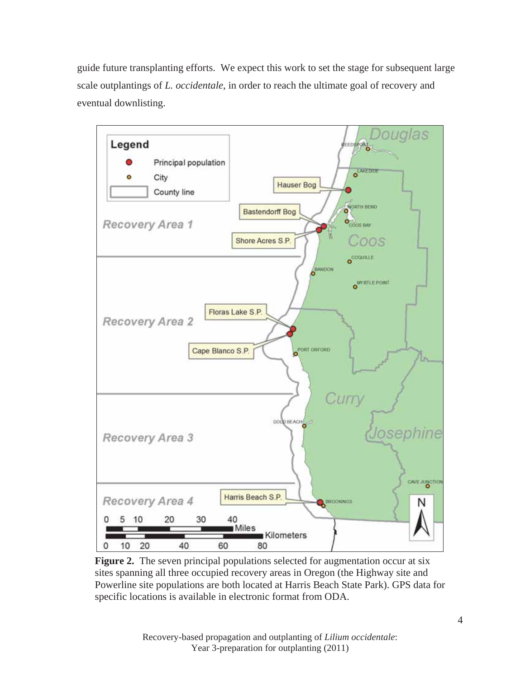guide future transplanting efforts. We expect this work to set the stage for subsequent large scale outplantings of *L. occidentale*, in order to reach the ultimate goal of recovery and eventual downlisting.



**Figure 2.** The seven principal populations selected for augmentation occur at six sites spanning all three occupied recovery areas in Oregon (the Highway site and Powerline site populations are both located at Harris Beach State Park). GPS data for specific locations is available in electronic format from ODA.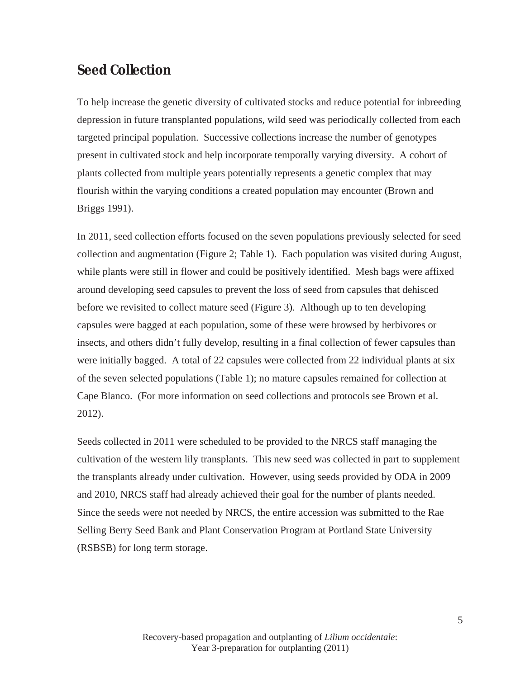### **Seed Collection**

To help increase the genetic diversity of cultivated stocks and reduce potential for inbreeding depression in future transplanted populations, wild seed was periodically collected from each targeted principal population. Successive collections increase the number of genotypes present in cultivated stock and help incorporate temporally varying diversity. A cohort of plants collected from multiple years potentially represents a genetic complex that may flourish within the varying conditions a created population may encounter (Brown and Briggs 1991).

In 2011, seed collection efforts focused on the seven populations previously selected for seed collection and augmentation (Figure 2; Table 1). Each population was visited during August, while plants were still in flower and could be positively identified. Mesh bags were affixed around developing seed capsules to prevent the loss of seed from capsules that dehisced before we revisited to collect mature seed (Figure 3). Although up to ten developing capsules were bagged at each population, some of these were browsed by herbivores or insects, and others didn't fully develop, resulting in a final collection of fewer capsules than were initially bagged. A total of 22 capsules were collected from 22 individual plants at six of the seven selected populations (Table 1); no mature capsules remained for collection at Cape Blanco. (For more information on seed collections and protocols see Brown et al. 2012).

Seeds collected in 2011 were scheduled to be provided to the NRCS staff managing the cultivation of the western lily transplants. This new seed was collected in part to supplement the transplants already under cultivation. However, using seeds provided by ODA in 2009 and 2010, NRCS staff had already achieved their goal for the number of plants needed. Since the seeds were not needed by NRCS, the entire accession was submitted to the Rae Selling Berry Seed Bank and Plant Conservation Program at Portland State University (RSBSB) for long term storage.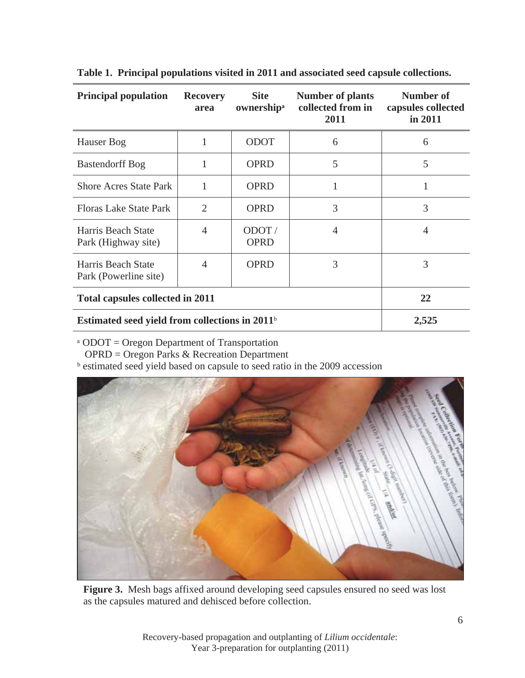| <b>Principal population</b>                      | <b>Recovery</b><br>area | <b>Site</b><br>ownership <sup>a</sup> | <b>Number of plants</b><br>collected from in<br>2011 | Number of<br>capsules collected<br>in 2011 |
|--------------------------------------------------|-------------------------|---------------------------------------|------------------------------------------------------|--------------------------------------------|
| Hauser Bog                                       | 1                       | <b>ODOT</b>                           | 6                                                    | 6                                          |
| <b>Bastendorff Bog</b>                           |                         | <b>OPRD</b>                           | 5                                                    | 5                                          |
| <b>Shore Acres State Park</b>                    | 1                       | <b>OPRD</b>                           | 1                                                    |                                            |
| <b>Floras Lake State Park</b>                    | $\overline{2}$          | <b>OPRD</b>                           | 3                                                    | 3                                          |
| Harris Beach State<br>Park (Highway site)        | 4                       | ODOT/<br><b>OPRD</b>                  | $\overline{4}$                                       | $\overline{4}$                             |
| Harris Beach State<br>Park (Powerline site)      | $\overline{4}$          | <b>OPRD</b>                           | 3                                                    | 3                                          |
| <b>Total capsules collected in 2011</b>          |                         |                                       |                                                      | 22                                         |
| Estimated seed yield from collections in $2011b$ |                         |                                       |                                                      | 2,525                                      |

**Table 1. Principal populations visited in 2011 and associated seed capsule collections.** 

<sup>a</sup> ODOT = Oregon Department of Transportation

OPRD = Oregon Parks & Recreation Department

**b** estimated seed yield based on capsule to seed ratio in the 2009 accession



**Figure 3.** Mesh bags affixed around developing seed capsules ensured no seed was lost as the capsules matured and dehisced before collection.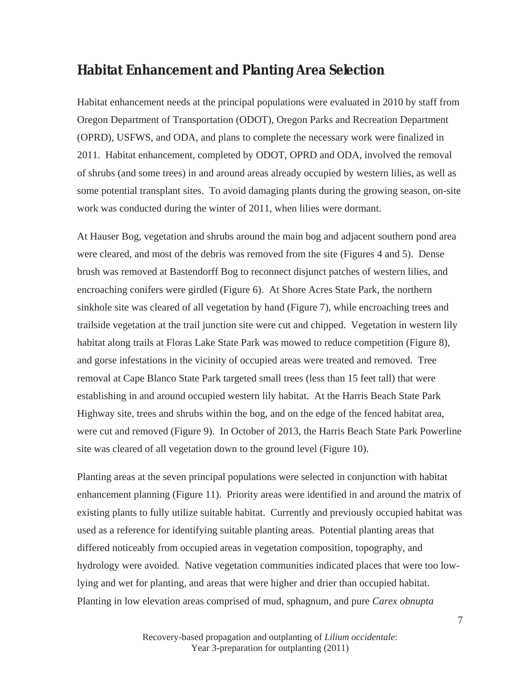### **Habitat Enhancement and Planting Area Selection**

Habitat enhancement needs at the principal populations were evaluated in 2010 by staff from Oregon Department of Transportation (ODOT), Oregon Parks and Recreation Department (OPRD), USFWS, and ODA, and plans to complete the necessary work were finalized in 2011. Habitat enhancement, completed by ODOT, OPRD and ODA, involved the removal of shrubs (and some trees) in and around areas already occupied by western lilies, as well as some potential transplant sites. To avoid damaging plants during the growing season, on-site work was conducted during the winter of 2011, when lilies were dormant.

At Hauser Bog, vegetation and shrubs around the main bog and adjacent southern pond area were cleared, and most of the debris was removed from the site (Figures 4 and 5). Dense brush was removed at Bastendorff Bog to reconnect disjunct patches of western lilies, and encroaching conifers were girdled (Figure 6). At Shore Acres State Park, the northern sinkhole site was cleared of all vegetation by hand (Figure 7), while encroaching trees and trailside vegetation at the trail junction site were cut and chipped. Vegetation in western lily habitat along trails at Floras Lake State Park was mowed to reduce competition (Figure 8), and gorse infestations in the vicinity of occupied areas were treated and removed. Tree removal at Cape Blanco State Park targeted small trees (less than 15 feet tall) that were establishing in and around occupied western lily habitat. At the Harris Beach State Park Highway site, trees and shrubs within the bog, and on the edge of the fenced habitat area, were cut and removed (Figure 9). In October of 2013, the Harris Beach State Park Powerline site was cleared of all vegetation down to the ground level (Figure 10).

Planting areas at the seven principal populations were selected in conjunction with habitat enhancement planning (Figure 11). Priority areas were identified in and around the matrix of existing plants to fully utilize suitable habitat. Currently and previously occupied habitat was used as a reference for identifying suitable planting areas. Potential planting areas that differed noticeably from occupied areas in vegetation composition, topography, and hydrology were avoided. Native vegetation communities indicated places that were too lowlying and wet for planting, and areas that were higher and drier than occupied habitat. Planting in low elevation areas comprised of mud, sphagnum, and pure *Carex obnupta*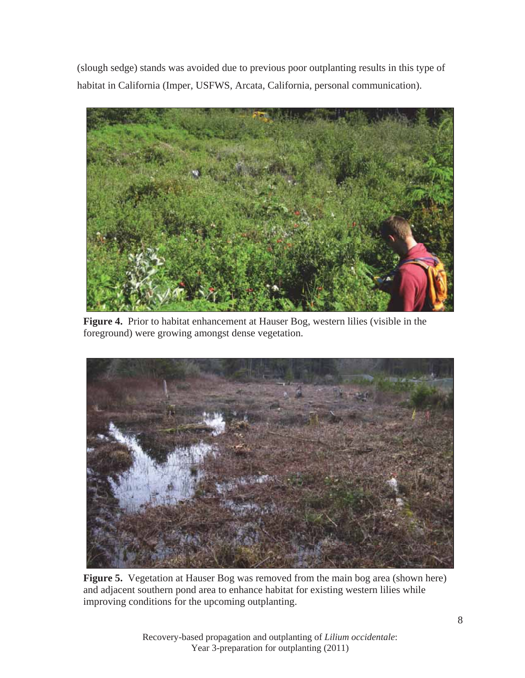(slough sedge) stands was avoided due to previous poor outplanting results in this type of habitat in California (Imper, USFWS, Arcata, California, personal communication).



**Figure 4.** Prior to habitat enhancement at Hauser Bog, western lilies (visible in the foreground) were growing amongst dense vegetation.



**Figure 5.** Vegetation at Hauser Bog was removed from the main bog area (shown here) and adjacent southern pond area to enhance habitat for existing western lilies while improving conditions for the upcoming outplanting.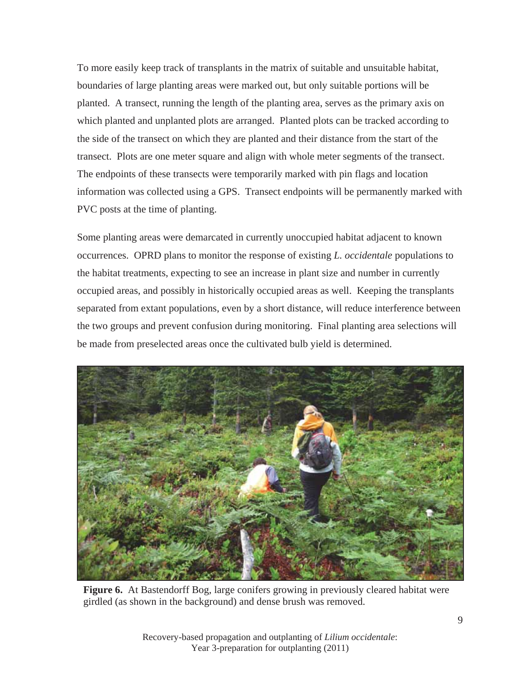To more easily keep track of transplants in the matrix of suitable and unsuitable habitat, boundaries of large planting areas were marked out, but only suitable portions will be planted. A transect, running the length of the planting area, serves as the primary axis on which planted and unplanted plots are arranged. Planted plots can be tracked according to the side of the transect on which they are planted and their distance from the start of the transect. Plots are one meter square and align with whole meter segments of the transect. The endpoints of these transects were temporarily marked with pin flags and location information was collected using a GPS. Transect endpoints will be permanently marked with PVC posts at the time of planting.

Some planting areas were demarcated in currently unoccupied habitat adjacent to known occurrences. OPRD plans to monitor the response of existing *L. occidentale* populations to the habitat treatments, expecting to see an increase in plant size and number in currently occupied areas, and possibly in historically occupied areas as well. Keeping the transplants separated from extant populations, even by a short distance, will reduce interference between the two groups and prevent confusion during monitoring. Final planting area selections will be made from preselected areas once the cultivated bulb yield is determined.



**Figure 6.** At Bastendorff Bog, large conifers growing in previously cleared habitat were girdled (as shown in the background) and dense brush was removed.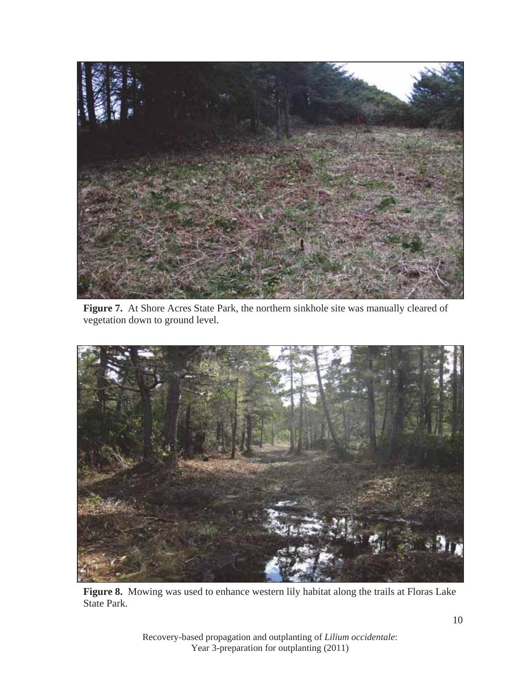

**Figure 7.** At Shore Acres State Park, the northern sinkhole site was manually cleared of vegetation down to ground level.



**Figure 8.** Mowing was used to enhance western lily habitat along the trails at Floras Lake State Park.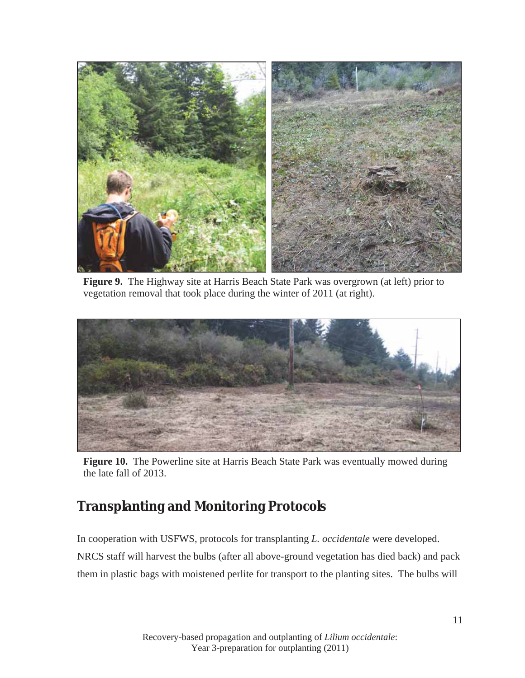

**Figure 9.** The Highway site at Harris Beach State Park was overgrown (at left) prior to vegetation removal that took place during the winter of 2011 (at right).



**Figure 10.** The Powerline site at Harris Beach State Park was eventually mowed during the late fall of 2013.

## **Transplanting and Monitoring Protocols**

In cooperation with USFWS, protocols for transplanting *L. occidentale* were developed. NRCS staff will harvest the bulbs (after all above-ground vegetation has died back) and pack them in plastic bags with moistened perlite for transport to the planting sites. The bulbs will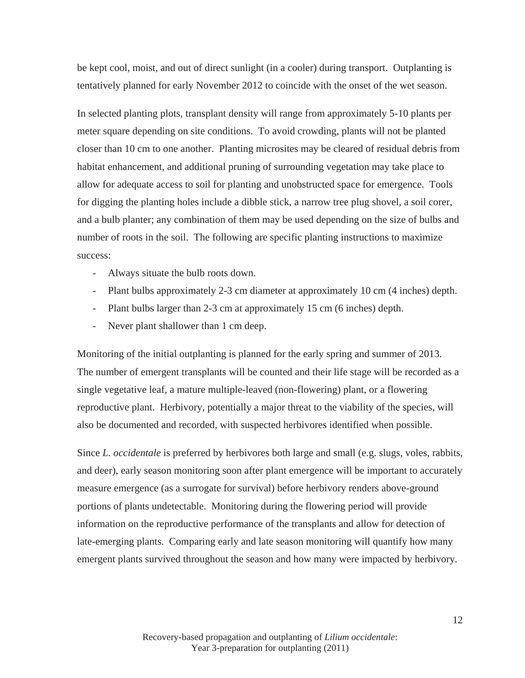be kept cool, moist, and out of direct sunlight (in a cooler) during transport. Outplanting is tentatively planned for early November 2012 to coincide with the onset of the wet season.

In selected planting plots, transplant density will range from approximately 5-10 plants per meter square depending on site conditions. To avoid crowding, plants will not be planted closer than 10 cm to one another. Planting microsites may be cleared of residual debris from habitat enhancement, and additional pruning of surrounding vegetation may take place to allow for adequate access to soil for planting and unobstructed space for emergence. Tools for digging the planting holes include a dibble stick, a narrow tree plug shovel, a soil corer, and a bulb planter; any combination of them may be used depending on the size of bulbs and number of roots in the soil. The following are specific planting instructions to maximize success:

- Always situate the bulb roots down.
- Plant bulbs approximately 2-3 cm diameter at approximately 10 cm (4 inches) depth.
- Plant bulbs larger than 2-3 cm at approximately 15 cm (6 inches) depth.
- Never plant shallower than 1 cm deep.

Monitoring of the initial outplanting is planned for the early spring and summer of 2013. The number of emergent transplants will be counted and their life stage will be recorded as a single vegetative leaf, a mature multiple-leaved (non-flowering) plant, or a flowering reproductive plant. Herbivory, potentially a major threat to the viability of the species, will also be documented and recorded, with suspected herbivores identified when possible.

Since *L. occidentale* is preferred by herbivores both large and small (e.g. slugs, voles, rabbits, and deer), early season monitoring soon after plant emergence will be important to accurately measure emergence (as a surrogate for survival) before herbivory renders above-ground portions of plants undetectable. Monitoring during the flowering period will provide information on the reproductive performance of the transplants and allow for detection of late-emerging plants. Comparing early and late season monitoring will quantify how many emergent plants survived throughout the season and how many were impacted by herbivory.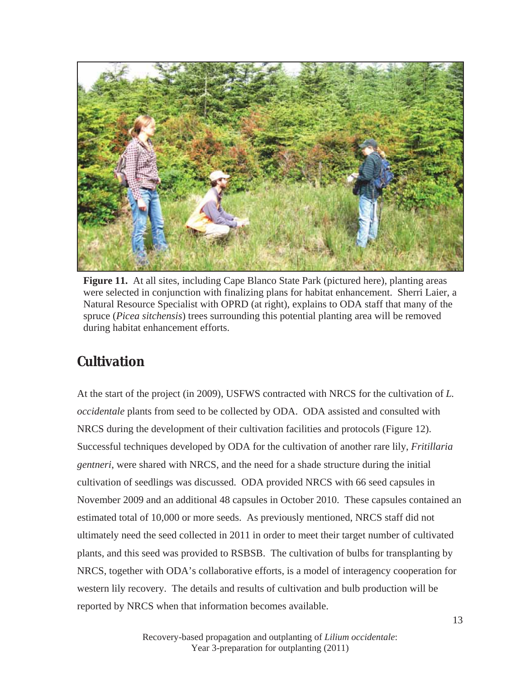

**Figure 11.** At all sites, including Cape Blanco State Park (pictured here), planting areas were selected in conjunction with finalizing plans for habitat enhancement. Sherri Laier, a Natural Resource Specialist with OPRD (at right), explains to ODA staff that many of the spruce (*Picea sitchensis*) trees surrounding this potential planting area will be removed during habitat enhancement efforts.

## **Cultivation**

At the start of the project (in 2009), USFWS contracted with NRCS for the cultivation of *L. occidentale* plants from seed to be collected by ODA. ODA assisted and consulted with NRCS during the development of their cultivation facilities and protocols (Figure 12). Successful techniques developed by ODA for the cultivation of another rare lily, *Fritillaria gentneri*, were shared with NRCS, and the need for a shade structure during the initial cultivation of seedlings was discussed. ODA provided NRCS with 66 seed capsules in November 2009 and an additional 48 capsules in October 2010. These capsules contained an estimated total of 10,000 or more seeds. As previously mentioned, NRCS staff did not ultimately need the seed collected in 2011 in order to meet their target number of cultivated plants, and this seed was provided to RSBSB. The cultivation of bulbs for transplanting by NRCS, together with ODA's collaborative efforts, is a model of interagency cooperation for western lily recovery. The details and results of cultivation and bulb production will be reported by NRCS when that information becomes available.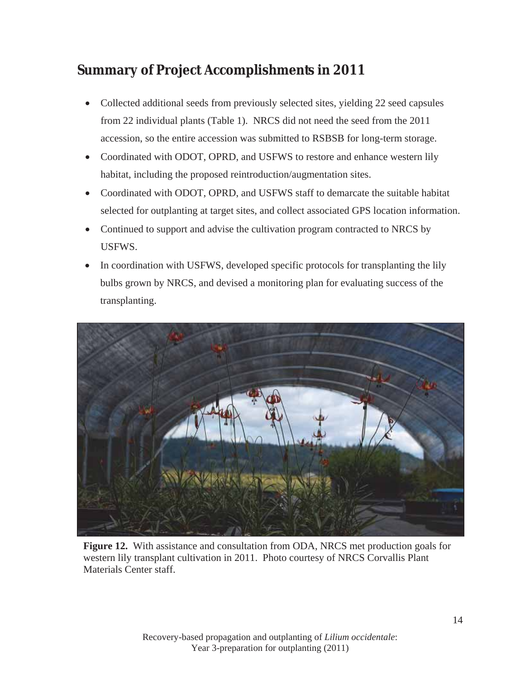## **Summary of Project Accomplishments in 2011**

- Collected additional seeds from previously selected sites, yielding 22 seed capsules from 22 individual plants (Table 1). NRCS did not need the seed from the 2011 accession, so the entire accession was submitted to RSBSB for long-term storage.
- Coordinated with ODOT, OPRD, and USFWS to restore and enhance western lily habitat, including the proposed reintroduction/augmentation sites.
- Coordinated with ODOT, OPRD, and USFWS staff to demarcate the suitable habitat selected for outplanting at target sites, and collect associated GPS location information.
- Continued to support and advise the cultivation program contracted to NRCS by USFWS.
- In coordination with USFWS, developed specific protocols for transplanting the lily bulbs grown by NRCS, and devised a monitoring plan for evaluating success of the transplanting.



**Figure 12.** With assistance and consultation from ODA, NRCS met production goals for western lily transplant cultivation in 2011. Photo courtesy of NRCS Corvallis Plant Materials Center staff.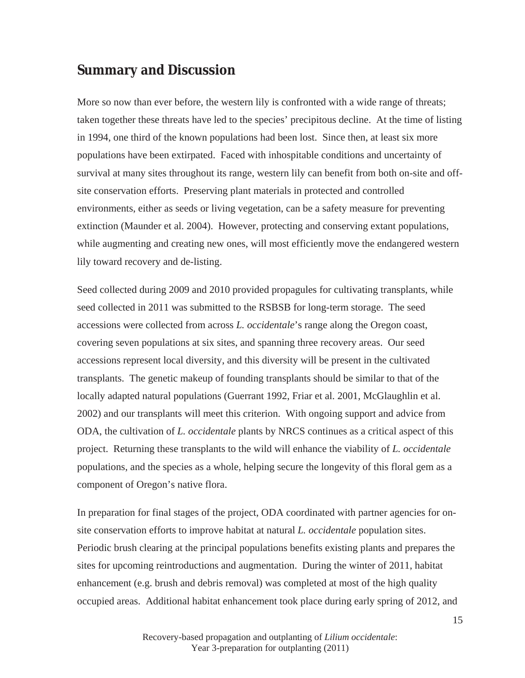#### **Summary and Discussion**

More so now than ever before, the western lily is confronted with a wide range of threats; taken together these threats have led to the species' precipitous decline. At the time of listing in 1994, one third of the known populations had been lost. Since then, at least six more populations have been extirpated. Faced with inhospitable conditions and uncertainty of survival at many sites throughout its range, western lily can benefit from both on-site and offsite conservation efforts. Preserving plant materials in protected and controlled environments, either as seeds or living vegetation, can be a safety measure for preventing extinction (Maunder et al. 2004). However, protecting and conserving extant populations, while augmenting and creating new ones, will most efficiently move the endangered western lily toward recovery and de-listing.

Seed collected during 2009 and 2010 provided propagules for cultivating transplants, while seed collected in 2011 was submitted to the RSBSB for long-term storage. The seed accessions were collected from across *L. occidentale*'s range along the Oregon coast, covering seven populations at six sites, and spanning three recovery areas. Our seed accessions represent local diversity, and this diversity will be present in the cultivated transplants. The genetic makeup of founding transplants should be similar to that of the locally adapted natural populations (Guerrant 1992, Friar et al. 2001, McGlaughlin et al. 2002) and our transplants will meet this criterion. With ongoing support and advice from ODA, the cultivation of *L. occidentale* plants by NRCS continues as a critical aspect of this project. Returning these transplants to the wild will enhance the viability of *L. occidentale* populations, and the species as a whole, helping secure the longevity of this floral gem as a component of Oregon's native flora.

In preparation for final stages of the project, ODA coordinated with partner agencies for onsite conservation efforts to improve habitat at natural *L. occidentale* population sites. Periodic brush clearing at the principal populations benefits existing plants and prepares the sites for upcoming reintroductions and augmentation. During the winter of 2011, habitat enhancement (e.g. brush and debris removal) was completed at most of the high quality occupied areas. Additional habitat enhancement took place during early spring of 2012, and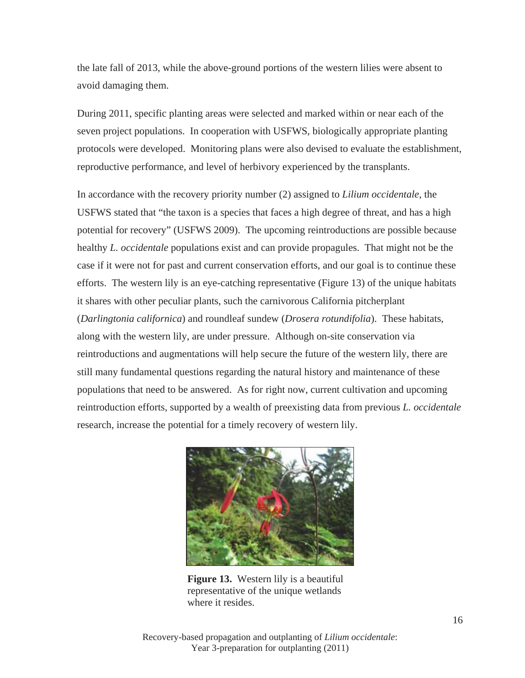the late fall of 2013, while the above-ground portions of the western lilies were absent to avoid damaging them.

During 2011, specific planting areas were selected and marked within or near each of the seven project populations. In cooperation with USFWS, biologically appropriate planting protocols were developed. Monitoring plans were also devised to evaluate the establishment, reproductive performance, and level of herbivory experienced by the transplants.

In accordance with the recovery priority number (2) assigned to *Lilium occidentale*, the USFWS stated that "the taxon is a species that faces a high degree of threat, and has a high potential for recovery" (USFWS 2009). The upcoming reintroductions are possible because healthy *L. occidentale* populations exist and can provide propagules. That might not be the case if it were not for past and current conservation efforts, and our goal is to continue these efforts. The western lily is an eye-catching representative (Figure 13) of the unique habitats it shares with other peculiar plants, such the carnivorous California pitcherplant (*Darlingtonia californica*) and roundleaf sundew (*Drosera rotundifolia*). These habitats, along with the western lily, are under pressure. Although on-site conservation via reintroductions and augmentations will help secure the future of the western lily, there are still many fundamental questions regarding the natural history and maintenance of these populations that need to be answered. As for right now, current cultivation and upcoming reintroduction efforts, supported by a wealth of preexisting data from previous *L. occidentale*  research, increase the potential for a timely recovery of western lily.



**Figure 13.** Western lily is a beautiful representative of the unique wetlands where it resides.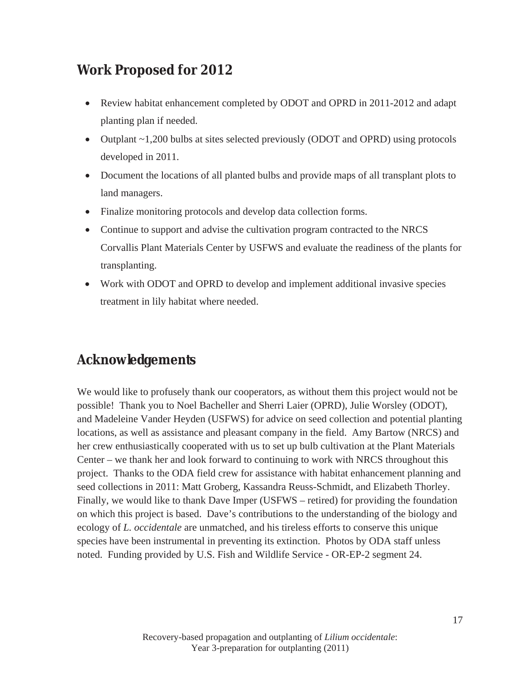## **Work Proposed for 2012**

- Review habitat enhancement completed by ODOT and OPRD in 2011-2012 and adapt planting plan if needed.
- Outplant  $\sim$  1,200 bulbs at sites selected previously (ODOT and OPRD) using protocols developed in 2011.
- Document the locations of all planted bulbs and provide maps of all transplant plots to land managers.
- Finalize monitoring protocols and develop data collection forms.
- Continue to support and advise the cultivation program contracted to the NRCS Corvallis Plant Materials Center by USFWS and evaluate the readiness of the plants for transplanting.
- Work with ODOT and OPRD to develop and implement additional invasive species treatment in lily habitat where needed.

## **Acknowledgements**

We would like to profusely thank our cooperators, as without them this project would not be possible! Thank you to Noel Bacheller and Sherri Laier (OPRD), Julie Worsley (ODOT), and Madeleine Vander Heyden (USFWS) for advice on seed collection and potential planting locations, as well as assistance and pleasant company in the field. Amy Bartow (NRCS) and her crew enthusiastically cooperated with us to set up bulb cultivation at the Plant Materials Center – we thank her and look forward to continuing to work with NRCS throughout this project. Thanks to the ODA field crew for assistance with habitat enhancement planning and seed collections in 2011: Matt Groberg, Kassandra Reuss-Schmidt, and Elizabeth Thorley. Finally, we would like to thank Dave Imper (USFWS – retired) for providing the foundation on which this project is based. Dave's contributions to the understanding of the biology and ecology of *L. occidentale* are unmatched, and his tireless efforts to conserve this unique species have been instrumental in preventing its extinction. Photos by ODA staff unless noted. Funding provided by U.S. Fish and Wildlife Service - OR-EP-2 segment 24.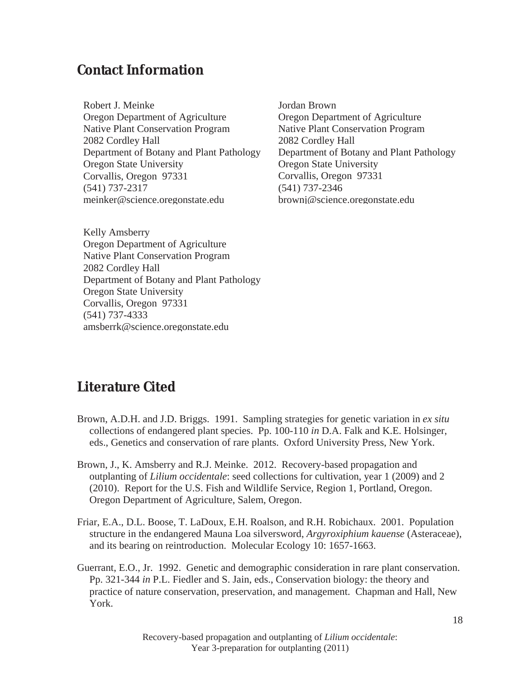## **Contact Information**

Robert J. Meinke Oregon Department of Agriculture Native Plant Conservation Program 2082 Cordley Hall Department of Botany and Plant Pathology Oregon State University Corvallis, Oregon 97331 (541) 737-2317 meinker@science.oregonstate.edu

Jordan Brown Oregon Department of Agriculture Native Plant Conservation Program 2082 Cordley Hall Department of Botany and Plant Pathology Oregon State University Corvallis, Oregon 97331 (541) 737-2346 brownj@science.oregonstate.edu

Kelly Amsberry Oregon Department of Agriculture Native Plant Conservation Program 2082 Cordley Hall Department of Botany and Plant Pathology Oregon State University Corvallis, Oregon 97331 (541) 737-4333 amsberrk@science.oregonstate.edu

## **Literature Cited**

- Brown, A.D.H. and J.D. Briggs. 1991. Sampling strategies for genetic variation in *ex situ* collections of endangered plant species. Pp. 100-110 *in* D.A. Falk and K.E. Holsinger, eds., Genetics and conservation of rare plants. Oxford University Press, New York.
- Brown, J., K. Amsberry and R.J. Meinke. 2012. Recovery-based propagation and outplanting of *Lilium occidentale*: seed collections for cultivation, year 1 (2009) and 2 (2010). Report for the U.S. Fish and Wildlife Service, Region 1, Portland, Oregon. Oregon Department of Agriculture, Salem, Oregon.
- Friar, E.A., D.L. Boose, T. LaDoux, E.H. Roalson, and R.H. Robichaux. 2001. Population structure in the endangered Mauna Loa silversword, *Argyroxiphium kauense* (Asteraceae), and its bearing on reintroduction. Molecular Ecology 10: 1657-1663.
- Guerrant, E.O., Jr. 1992. Genetic and demographic consideration in rare plant conservation. Pp. 321-344 *in* P.L. Fiedler and S. Jain, eds., Conservation biology: the theory and practice of nature conservation, preservation, and management. Chapman and Hall, New York.